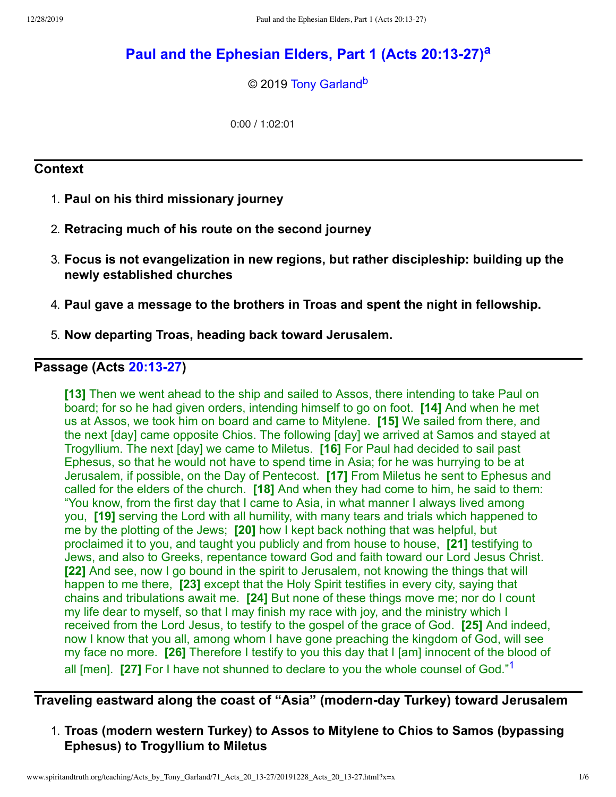# **Paul and the [Ephesian](http://www.spiritandtruth.org/teaching/Acts_by_Tony_Garland/71_Acts_20_13-27/index.htm) Elders, Part 1 (Acts 20:13-27) [a](#page-5-0)**

<span id="page-0-2"></span><span id="page-0-1"></span>© 2019 [Tony Garland](http://www.spiritandtruth.org/id/tg.htm)<sup>[b](#page-5-1)</sup>

0:00 / 1:02:01

#### **Context**

- 1. **Paul on his third missionary journey**
- 2. **Retracing much of his route on the second journey**
- 3. **Focus is not evangelization in new regions, but rather discipleship: building up the newly established churches**
- 4. **Paul gave a message to the brothers in Troas and spent the night in fellowship.**
- 5. **Now departing Troas, heading back toward Jerusalem.**

#### **Passage (Acts [20:13-27\)](http://www.spiritandtruth.org/bibles/nasb/b44c020.htm#Acts_C20V13)**

**[13]** Then we went ahead to the ship and sailed to Assos, there intending to take Paul on board; for so he had given orders, intending himself to go on foot. **[14]** And when he met us at Assos, we took him on board and came to Mitylene. **[15]** We sailed from there, and the next [day] came opposite Chios. The following [day] we arrived at Samos and stayed at Trogyllium. The next [day] we came to Miletus. **[16]** For Paul had decided to sail past Ephesus, so that he would not have to spend time in Asia; for he was hurrying to be at Jerusalem, if possible, on the Day of Pentecost. **[17]** From Miletus he sent to Ephesus and called for the elders of the church. **[18]** And when they had come to him, he said to them: "You know, from the first day that I came to Asia, in what manner I always lived among you, **[19]** serving the Lord with all humility, with many tears and trials which happened to me by the plotting of the Jews; **[20]** how I kept back nothing that was helpful, but proclaimed it to you, and taught you publicly and from house to house, **[21]** testifying to Jews, and also to Greeks, repentance toward God and faith toward our Lord Jesus Christ. **[22]** And see, now I go bound in the spirit to Jerusalem, not knowing the things that will happen to me there, **[23]** except that the Holy Spirit testifies in every city, saying that chains and tribulations await me. **[24]** But none of these things move me; nor do I count my life dear to myself, so that I may finish my race with joy, and the ministry which I received from the Lord Jesus, to testify to the gospel of the grace of God. **[25]** And indeed, now I know that you all, among whom I have gone preaching the kingdom of God, will see my face no more. **[26]** Therefore I testify to you this day that I [am] innocent of the blood of all [men]. **[27]** For I have not shunned to declare to you the whole counsel of God."[1](#page-4-0)

# **Traveling eastward along the coast of "Asia" (modern-day Turkey) toward Jerusalem**

<span id="page-0-0"></span>1. **Troas (modern western Turkey) to Assos to Mitylene to Chios to Samos (bypassing Ephesus) to Trogyllium to Miletus**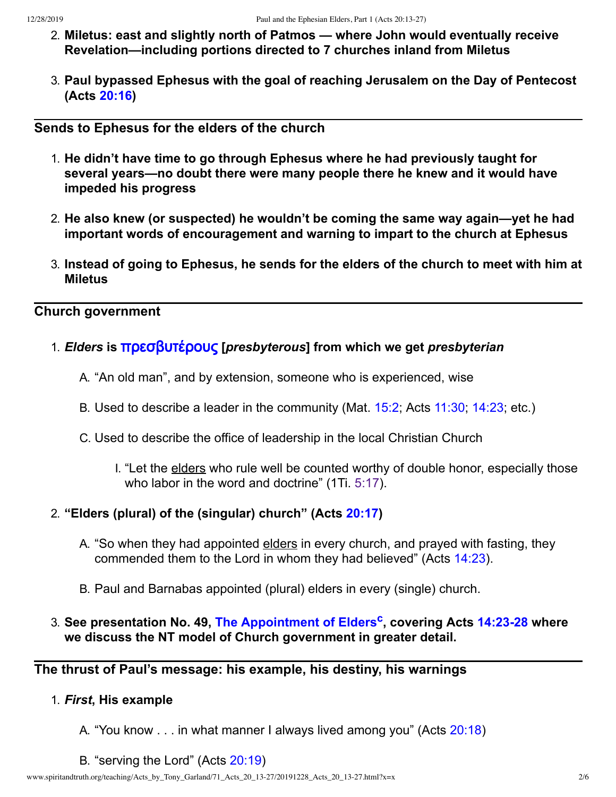- 2. **Miletus: east and slightly north of Patmos — where John would eventually receive Revelation—including portions directed to 7 churches inland from Miletus**
- 3. **Paul bypassed Ephesus with the goal of reaching Jerusalem on the Day of Pentecost (Acts [20:16\)](http://www.spiritandtruth.org/bibles/nasb/b44c020.htm#Acts_C20V16)**

### **Sends to Ephesus for the elders of the church**

- 1. **He didn't have time to go through Ephesus where he had previously taught for several years—no doubt there were many people there he knew and it would have impeded his progress**
- 2. **He also knew (or suspected) he wouldn't be coming the same way again—yet he had important words of encouragement and warning to impart to the church at Ephesus**
- 3. **Instead of going to Ephesus, he sends for the elders of the church to meet with him at Miletus**

# **Church government**

- 1. *Elders* **is** [πρεσβυτέρους](http://www.spiritandtruth.org/fontsu/index.htm) **[***presbyterous***] from which we get** *presbyterian*
	- A. "An old man", and by extension, someone who is experienced, wise
	- B. Used to describe a leader in the community (Mat. [15:2;](http://www.spiritandtruth.org/bibles/nasb/b40c015.htm#Mat._C15V2) Acts [11:30;](http://www.spiritandtruth.org/bibles/nasb/b44c011.htm#Acts_C11V30) [14:23;](http://www.spiritandtruth.org/bibles/nasb/b44c014.htm#Acts_C14V23) etc.)
	- C. Used to describe the office of leadership in the local Christian Church
		- I. "Let the elders who rule well be counted worthy of double honor, especially those who labor in the word and doctrine" (1Ti. [5:17](http://www.spiritandtruth.org/bibles/nasb/b54c005.htm#1Ti._C5V17)).

## 2. **"Elders (plural) of the (singular) church" (Acts [20:17](http://www.spiritandtruth.org/bibles/nasb/b44c020.htm#Acts_C20V17))**

- A. "So when they had appointed elders in every church, and prayed with fasting, they commended them to the Lord in whom they had believed" (Acts [14:23\)](http://www.spiritandtruth.org/bibles/nasb/b44c014.htm#Acts_C14V23).
- <span id="page-1-0"></span>B. Paul and Barnabas appointed (plural) elders in every (single) church.
- 3. **See presentation No. 49, The [Appointment](http://www.spiritandtruth.org/teaching/Acts_by_Tony_Garland/49_Acts_14_23-28/index.htm) of Elders [c](#page-5-2) , covering Acts [14:23-28](http://www.spiritandtruth.org/bibles/nasb/b44c014.htm#Acts_C14V23) where we discuss the NT model of Church government in greater detail.**

## **The thrust of Paul's message: his example, his destiny, his warnings**

#### 1. *First***, His example**

- A. "You know . . . in what manner I always lived among you" (Acts [20:18\)](http://www.spiritandtruth.org/bibles/nasb/b44c020.htm#Acts_C20V18)
- B. "serving the Lord" (Acts [20:19](http://www.spiritandtruth.org/bibles/nasb/b44c020.htm#Acts_C20V19))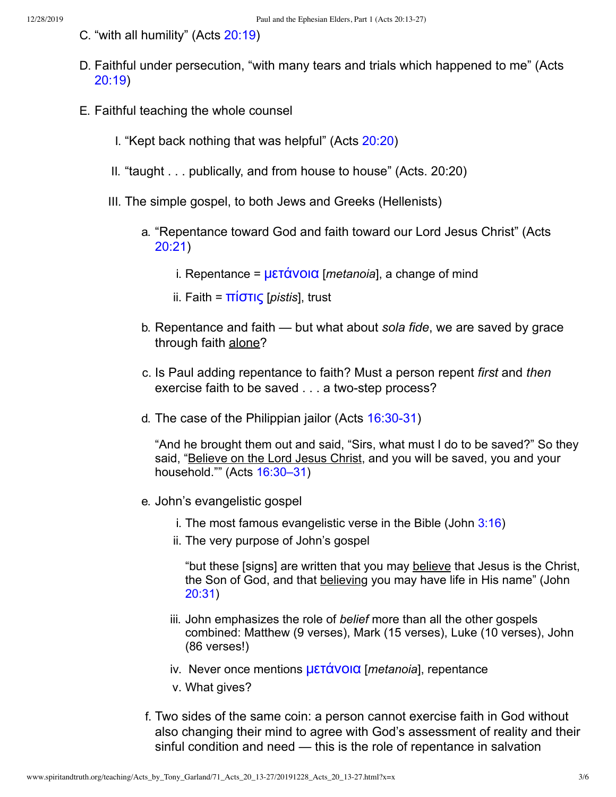- C. "with all humility" (Acts [20:19\)](http://www.spiritandtruth.org/bibles/nasb/b44c020.htm#Acts_C20V19)
- D. Faithful under persecution, "with many tears and trials which happened to me" (Acts [20:19\)](http://www.spiritandtruth.org/bibles/nasb/b44c020.htm#Acts_C20V19)
- E. Faithful teaching the whole counsel
	- I. "Kept back nothing that was helpful" (Acts [20:20\)](http://www.spiritandtruth.org/bibles/nasb/b44c020.htm#Acts_C20V20)
	- II. "taught . . . publically, and from house to house" (Acts. 20:20)
	- III. The simple gospel, to both Jews and Greeks (Hellenists)
		- a. "Repentance toward God and faith toward our Lord Jesus Christ" (Acts [20:21\)](http://www.spiritandtruth.org/bibles/nasb/b44c020.htm#Acts_C20V21)
			- i. Repentance = [μετάνοια](http://www.spiritandtruth.org/fontsu/index.htm) [*metanoia*], a change of mind
			- ii. Faith = [πίστις](http://www.spiritandtruth.org/fontsu/index.htm) [*pistis*], trust
		- b. Repentance and faith but what about *sola fide*, we are saved by grace through faith alone?
		- c. Is Paul adding repentance to faith? Must a person repent *first* and *then* exercise faith to be saved . . . a two-step process?
		- d. The case of the Philippian jailor (Acts [16:30-31\)](http://www.spiritandtruth.org/bibles/nasb/b44c016.htm#Acts_C16V30)

"And he brought them out and said, "Sirs, what must I do to be saved?" So they said, "Believe on the Lord Jesus Christ, and you will be saved, you and your household."" (Acts [16:30–31](http://www.spiritandtruth.org/bibles/nasb/b44c016.htm#Acts_C16V30))

- e. John's evangelistic gospel
	- i. The most famous evangelistic verse in the Bible (John  $3:16$ )
	- ii. The very purpose of John's gospel

"but these [signs] are written that you may believe that Jesus is the Christ, the Son of God, and that believing you may have life in His name" (John [20:31](http://www.spiritandtruth.org/bibles/nasb/b43c020.htm#John_C20V31))

- iii. John emphasizes the role of *belief* more than all the other gospels combined: Matthew (9 verses), Mark (15 verses), Luke (10 verses), John (86 verses!)
- iv. Never once mentions [μετάνοια](http://www.spiritandtruth.org/fontsu/index.htm) [*metanoia*], repentance
- v. What gives?
- f. Two sides of the same coin: a person cannot exercise faith in God without also changing their mind to agree with God's assessment of reality and their sinful condition and need — this is the role of repentance in salvation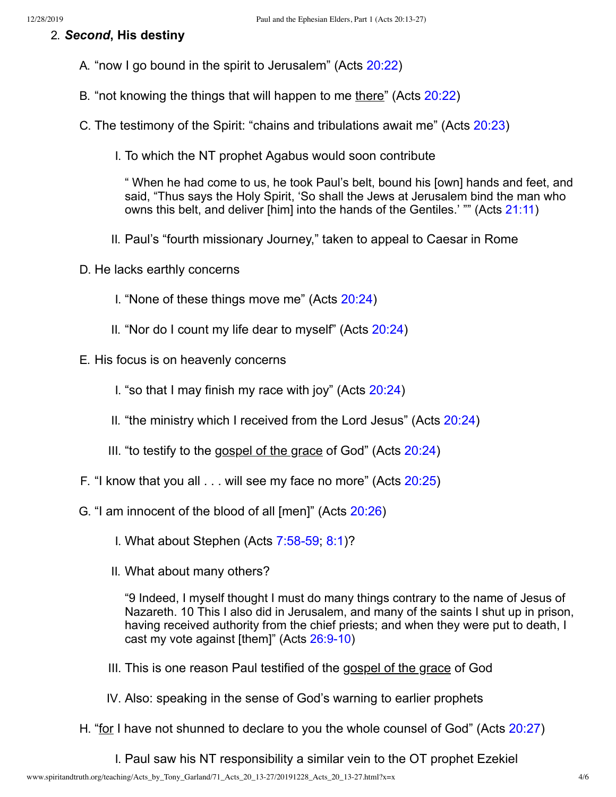#### 2. *Second***, His destiny**

- A. "now I go bound in the spirit to Jerusalem" (Acts [20:22\)](http://www.spiritandtruth.org/bibles/nasb/b44c020.htm#Acts_C20V22)
- B. "not knowing the things that will happen to me there" (Acts [20:22\)](http://www.spiritandtruth.org/bibles/nasb/b44c020.htm#Acts_C20V22)
- C. The testimony of the Spirit: "chains and tribulations await me" (Acts [20:23](http://www.spiritandtruth.org/bibles/nasb/b44c020.htm#Acts_C20V23))
	- I. To which the NT prophet Agabus would soon contribute

" When he had come to us, he took Paul's belt, bound his [own] hands and feet, and said, "Thus says the Holy Spirit, 'So shall the Jews at Jerusalem bind the man who owns this belt, and deliver [him] into the hands of the Gentiles.' "" (Acts [21:11\)](http://www.spiritandtruth.org/bibles/nasb/b44c021.htm#Acts_C21V11)

- II. Paul's "fourth missionary Journey," taken to appeal to Caesar in Rome
- D. He lacks earthly concerns
	- I. "None of these things move me" (Acts [20:24](http://www.spiritandtruth.org/bibles/nasb/b44c020.htm#Acts_C20V24))
	- II. "Nor do I count my life dear to myself" (Acts [20:24\)](http://www.spiritandtruth.org/bibles/nasb/b44c020.htm#Acts_C20V24)
- E. His focus is on heavenly concerns
	- I. "so that I may finish my race with joy" (Acts  $20:24$ )
	- II. "the ministry which I received from the Lord Jesus" (Acts [20:24\)](http://www.spiritandtruth.org/bibles/nasb/b44c020.htm#Acts_C20V24)
	- III. "to testify to the gospel of the grace of God" (Acts [20:24](http://www.spiritandtruth.org/bibles/nasb/b44c020.htm#Acts_C20V24))
- F. "I know that you all . . . will see my face no more" (Acts [20:25\)](http://www.spiritandtruth.org/bibles/nasb/b44c020.htm#Acts_C20V25)
- G. "I am innocent of the blood of all [men]" (Acts [20:26\)](http://www.spiritandtruth.org/bibles/nasb/b44c020.htm#Acts_C20V26)
	- I. What about Stephen (Acts [7:58-59;](http://www.spiritandtruth.org/bibles/nasb/b44c007.htm#Acts_C7V58) [8:1\)](http://www.spiritandtruth.org/bibles/nasb/b44c008.htm#Acts_C8V1)?
	- II. What about many others?

"9 Indeed, I myself thought I must do many things contrary to the name of Jesus of Nazareth. 10 This I also did in Jerusalem, and many of the saints I shut up in prison, having received authority from the chief priests; and when they were put to death, I cast my vote against [them]" (Acts [26:9-10](http://www.spiritandtruth.org/bibles/nasb/b44c026.htm#Acts_C26V9))

- III. This is one reason Paul testified of the gospel of the grace of God
- IV. Also: speaking in the sense of God's warning to earlier prophets
- H. "for I have not shunned to declare to you the whole counsel of God" (Acts [20:27\)](http://www.spiritandtruth.org/bibles/nasb/b44c020.htm#Acts_C20V27)
	- I. Paul saw his NT responsibility a similar vein to the OT prophet Ezekiel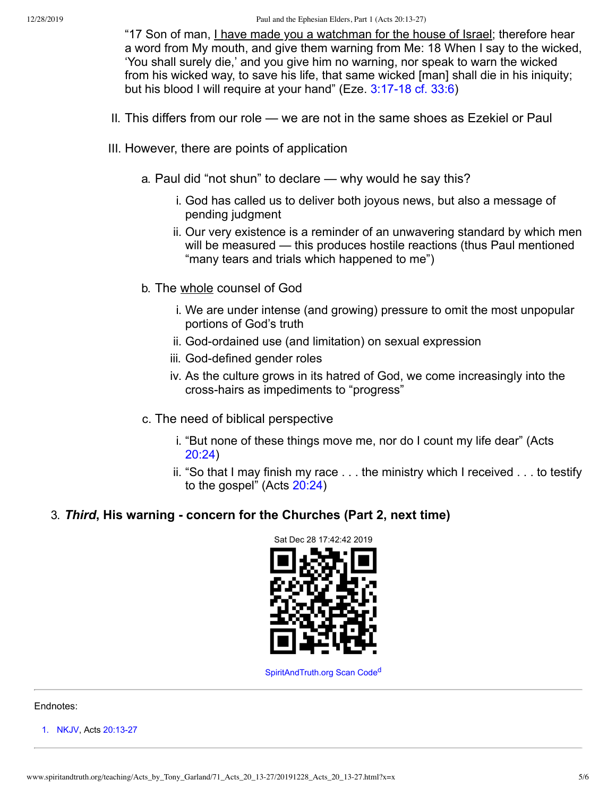"17 Son of man, I have made you a watchman for the house of Israel; therefore hear a word from My mouth, and give them warning from Me: 18 When I say to the wicked, 'You shall surely die,' and you give him no warning, nor speak to warn the wicked from his wicked way, to save his life, that same wicked [man] shall die in his iniquity; but his blood I will require at your hand" (Eze. [3:17-18 cf.](http://www.spiritandtruth.org/bibles/nasb/b26c003.htm#Eze._C3V17) [33:6\)](http://www.spiritandtruth.org/bibles/nasb/b26c033.htm#Eze._C33V6)

- II. This differs from our role we are not in the same shoes as Ezekiel or Paul
- III. However, there are points of application
	- a. Paul did "not shun" to declare why would he say this?
		- i. God has called us to deliver both joyous news, but also a message of pending judgment
		- ii. Our very existence is a reminder of an unwavering standard by which men will be measured — this produces hostile reactions (thus Paul mentioned "many tears and trials which happened to me")
	- b. The whole counsel of God
		- i. We are under intense (and growing) pressure to omit the most unpopular portions of God's truth
		- ii. God-ordained use (and limitation) on sexual expression
		- iii. God-defined gender roles
		- iv. As the culture grows in its hatred of God, we come increasingly into the cross-hairs as impediments to "progress"
	- c. The need of biblical perspective
		- i. "But none of these things move me, nor do I count my life dear" (Acts [20:24](http://www.spiritandtruth.org/bibles/nasb/b44c020.htm#Acts_C20V24))
		- ii. "So that I may finish my race . . . the ministry which I received . . . to testify to the gospel" (Acts [20:24\)](http://www.spiritandtruth.org/bibles/nasb/b44c020.htm#Acts_C20V24)

#### 3. *Third***, His warning - concern for the Churches (Part 2, next time)**

<span id="page-4-1"></span>

[SpiritAndTruth.org](http://www.spiritandtruth.org/) Scan Co[d](#page-5-3)e<sup>d</sup>

#### Endnotes:

<span id="page-4-0"></span>[1.](#page-0-0) [NKJV](#page-5-4), Acts [20:13-27](http://www.spiritandtruth.org/bibles/nasb/b44c020.htm#Acts_C20V13)